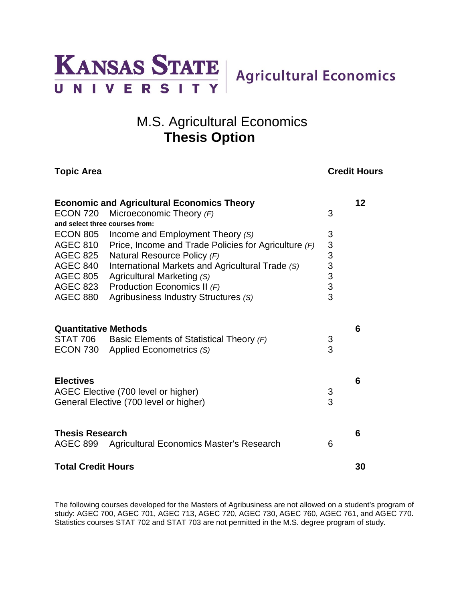

# M.S. Agricultural Economics **Thesis Option**

**Topic Area** Credit Hours

| <b>Economic and Agricultural Economics Theory</b> |                                                                                        |                                                        |    |
|---------------------------------------------------|----------------------------------------------------------------------------------------|--------------------------------------------------------|----|
| <b>ECON 720</b>                                   | Microeconomic Theory (F)                                                               | 3                                                      |    |
| and select three courses from:                    |                                                                                        |                                                        |    |
| ECON 805                                          | Income and Employment Theory (S)                                                       | 3                                                      |    |
| <b>AGEC 810</b>                                   | Price, Income and Trade Policies for Agriculture $(F)$                                 |                                                        |    |
| <b>AGEC 825</b>                                   | Natural Resource Policy (F)                                                            | $\begin{array}{c}\n 3 \\  3 \\  3 \\  3\n \end{array}$ |    |
| AGEC 840                                          | International Markets and Agricultural Trade (S)                                       |                                                        |    |
|                                                   | AGEC 805 Agricultural Marketing (S)                                                    |                                                        |    |
| <b>AGEC 823</b>                                   | Production Economics II (F)                                                            |                                                        |    |
| <b>AGEC 880</b>                                   | Agribusiness Industry Structures (S)                                                   |                                                        |    |
| <b>Quantitative Methods</b>                       | STAT 706 Basic Elements of Statistical Theory (F)<br>ECON 730 Applied Econometrics (S) | 3<br>3                                                 | 6  |
| <b>Electives</b>                                  | AGEC Elective (700 level or higher)<br>General Elective (700 level or higher)          | 3<br>3                                                 | 6  |
| <b>Thesis Research</b><br>AGEC 899                | Agricultural Economics Master's Research                                               | 6                                                      | 6  |
| <b>Total Credit Hours</b>                         |                                                                                        |                                                        | 30 |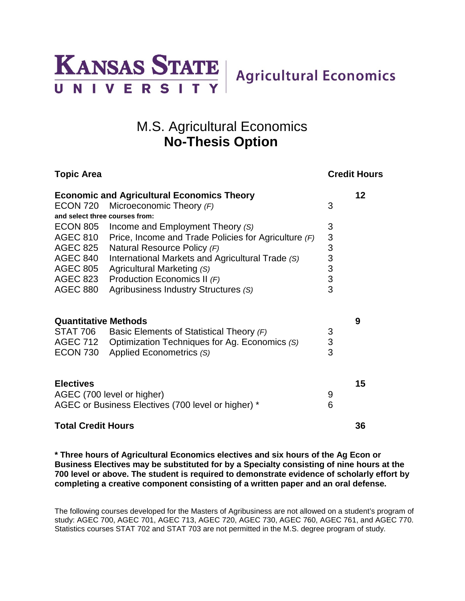

# M.S. Agricultural Economics **No-Thesis Option**

| <b>Topic Area</b>                                       |                                                        |                                                   | <b>Credit Hours</b> |  |  |
|---------------------------------------------------------|--------------------------------------------------------|---------------------------------------------------|---------------------|--|--|
| 12<br><b>Economic and Agricultural Economics Theory</b> |                                                        |                                                   |                     |  |  |
|                                                         | ECON 720 Microeconomic Theory $(F)$                    | 3                                                 |                     |  |  |
| and select three courses from:                          |                                                        |                                                   |                     |  |  |
| ECON 805                                                | Income and Employment Theory (S)                       | 3                                                 |                     |  |  |
| <b>AGEC 810</b>                                         | Price, Income and Trade Policies for Agriculture $(F)$ |                                                   |                     |  |  |
| <b>AGEC 825</b>                                         | Natural Resource Policy (F)                            |                                                   |                     |  |  |
| <b>AGEC 840</b>                                         | International Markets and Agricultural Trade (S)       |                                                   |                     |  |  |
| <b>AGEC 805</b>                                         | Agricultural Marketing (S)                             |                                                   |                     |  |  |
| <b>AGEC 823</b>                                         | Production Economics II (F)                            | $\begin{array}{c}\n3 \\ 3 \\ 3 \\ 3\n\end{array}$ |                     |  |  |
| <b>AGEC 880</b>                                         | Agribusiness Industry Structures (S)                   | 3                                                 |                     |  |  |
| <b>Quantitative Methods</b>                             |                                                        |                                                   | 9                   |  |  |
| STAT 706                                                | Basic Elements of Statistical Theory (F)               | 3                                                 |                     |  |  |
|                                                         | AGEC 712 Optimization Techniques for Ag. Economics (S) | 3                                                 |                     |  |  |
| ECON 730                                                | Applied Econometrics (S)                               | 3                                                 |                     |  |  |
| <b>Electives</b>                                        |                                                        |                                                   | 15                  |  |  |
|                                                         | AGEC (700 level or higher)                             | 9                                                 |                     |  |  |
| AGEC or Business Electives (700 level or higher) *      |                                                        | 6                                                 |                     |  |  |
| <b>Total Credit Hours</b>                               |                                                        |                                                   | 36                  |  |  |

**\* Three hours of Agricultural Economics electives and six hours of the Ag Econ or Business Electives may be substituted for by a Specialty consisting of nine hours at the 700 level or above. The student is required to demonstrate evidence of scholarly effort by completing a creative component consisting of a written paper and an oral defense.**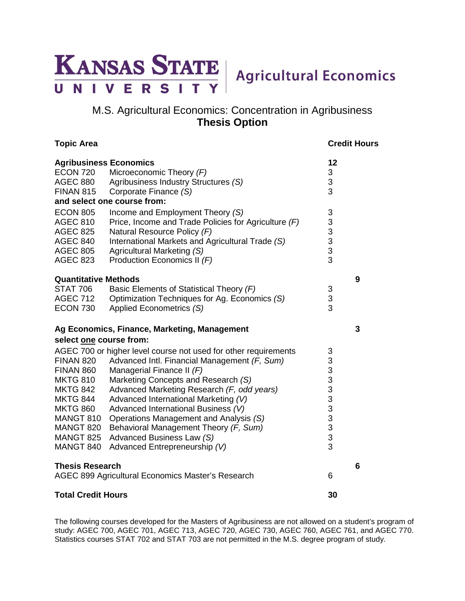

## M.S. Agricultural Economics: Concentration in Agribusiness **Thesis Option**

### **Topic Area** Credit Hours

| <b>Agribusiness Economics</b>                     |                                                                                    |                                            |   |
|---------------------------------------------------|------------------------------------------------------------------------------------|--------------------------------------------|---|
| <b>ECON 720</b>                                   | Microeconomic Theory (F)                                                           | 3                                          |   |
| <b>AGEC 880</b>                                   | Agribusiness Industry Structures (S)                                               | 3                                          |   |
| <b>FINAN 815</b>                                  | Corporate Finance (S)                                                              | 3                                          |   |
|                                                   | and select one course from:                                                        |                                            |   |
| <b>ECON 805</b>                                   | Income and Employment Theory (S)                                                   | 3                                          |   |
| <b>AGEC 810</b>                                   | Price, Income and Trade Policies for Agriculture $(F)$                             | 3                                          |   |
| <b>AGEC 825</b>                                   | Natural Resource Policy (F)                                                        | $\begin{array}{c} 3 \\ 3 \\ 3 \end{array}$ |   |
| <b>AGEC 840</b>                                   | International Markets and Agricultural Trade (S)                                   |                                            |   |
| <b>AGEC 805</b>                                   | Agricultural Marketing (S)                                                         |                                            |   |
| <b>AGEC 823</b>                                   | Production Economics II (F)                                                        |                                            |   |
| <b>Quantitative Methods</b>                       |                                                                                    |                                            | 9 |
| <b>STAT 706</b>                                   | Basic Elements of Statistical Theory (F)                                           | 3                                          |   |
| <b>AGEC 712</b>                                   | Optimization Techniques for Ag. Economics (S)                                      | 3                                          |   |
| ECON 730                                          | Applied Econometrics (S)                                                           | 3                                          |   |
|                                                   | Ag Economics, Finance, Marketing, Management                                       |                                            | 3 |
| select one course from:                           |                                                                                    |                                            |   |
|                                                   |                                                                                    |                                            |   |
|                                                   | AGEC 700 or higher level course not used for other requirements                    | $\ensuremath{\mathsf{3}}$                  |   |
| <b>FINAN 820</b>                                  | Advanced Intl. Financial Management (F, Sum)                                       |                                            |   |
| FINAN 860                                         | Managerial Finance II $(F)$                                                        |                                            |   |
| <b>MKTG 810</b><br><b>MKTG 842</b>                | Marketing Concepts and Research (S)                                                |                                            |   |
| <b>MKTG 844</b>                                   | Advanced Marketing Research (F, odd years)<br>Advanced International Marketing (V) | 33333333333                                |   |
| <b>MKTG 860</b>                                   | Advanced International Business (V)                                                |                                            |   |
| MANGT 810                                         | Operations Management and Analysis (S)                                             |                                            |   |
| MANGT 820                                         | Behavioral Management Theory (F, Sum)                                              |                                            |   |
| <b>MANGT 825</b>                                  | Advanced Business Law (S)                                                          |                                            |   |
| MANGT 840                                         | Advanced Entrepreneurship (V)                                                      |                                            |   |
|                                                   |                                                                                    |                                            |   |
| <b>Thesis Research</b>                            |                                                                                    |                                            | 6 |
| AGEC 899 Agricultural Economics Master's Research |                                                                                    | 6                                          |   |
| <b>Total Credit Hours</b>                         |                                                                                    | 30                                         |   |